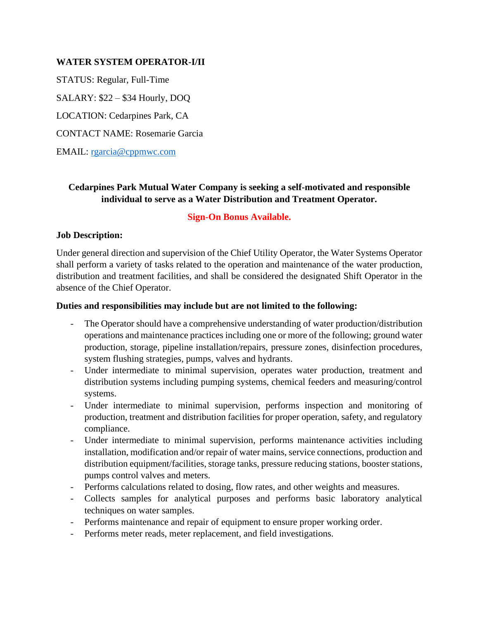### **WATER SYSTEM OPERATOR-I/II**

STATUS: Regular, Full-Time

SALARY: \$22 – \$34 Hourly, DOQ

LOCATION: Cedarpines Park, CA

CONTACT NAME: Rosemarie Garcia

EMAIL: [rgarcia@cppmwc.com](mailto:rgarcia@cppmwc.com)

## **Cedarpines Park Mutual Water Company is seeking a self-motivated and responsible individual to serve as a Water Distribution and Treatment Operator.**

## **Sign-On Bonus Available.**

## **Job Description:**

Under general direction and supervision of the Chief Utility Operator, the Water Systems Operator shall perform a variety of tasks related to the operation and maintenance of the water production, distribution and treatment facilities, and shall be considered the designated Shift Operator in the absence of the Chief Operator.

### **Duties and responsibilities may include but are not limited to the following:**

- The Operator should have a comprehensive understanding of water production/distribution operations and maintenance practices including one or more of the following; ground water production, storage, pipeline installation/repairs, pressure zones, disinfection procedures, system flushing strategies, pumps, valves and hydrants.
- Under intermediate to minimal supervision, operates water production, treatment and distribution systems including pumping systems, chemical feeders and measuring/control systems.
- Under intermediate to minimal supervision, performs inspection and monitoring of production, treatment and distribution facilities for proper operation, safety, and regulatory compliance.
- Under intermediate to minimal supervision, performs maintenance activities including installation, modification and/or repair of water mains, service connections, production and distribution equipment/facilities, storage tanks, pressure reducing stations, booster stations, pumps control valves and meters.
- Performs calculations related to dosing, flow rates, and other weights and measures.
- Collects samples for analytical purposes and performs basic laboratory analytical techniques on water samples.
- Performs maintenance and repair of equipment to ensure proper working order.
- Performs meter reads, meter replacement, and field investigations.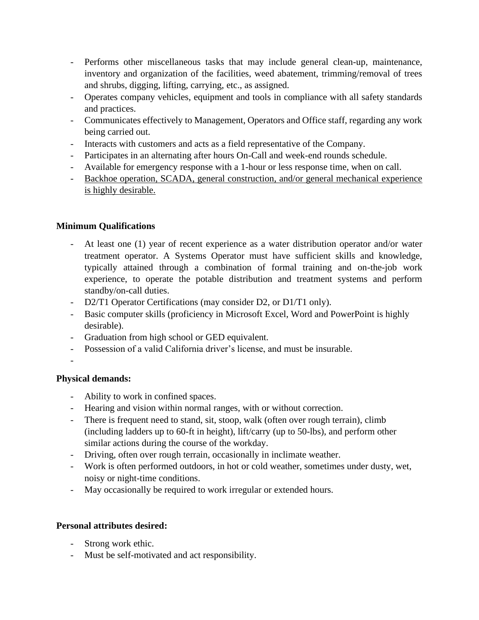- Performs other miscellaneous tasks that may include general clean-up, maintenance, inventory and organization of the facilities, weed abatement, trimming/removal of trees and shrubs, digging, lifting, carrying, etc., as assigned.
- Operates company vehicles, equipment and tools in compliance with all safety standards and practices.
- Communicates effectively to Management, Operators and Office staff, regarding any work being carried out.
- Interacts with customers and acts as a field representative of the Company.
- Participates in an alternating after hours On-Call and week-end rounds schedule.
- Available for emergency response with a 1-hour or less response time, when on call.
- Backhoe operation, SCADA, general construction, and/or general mechanical experience is highly desirable.

# **Minimum Qualifications**

- At least one (1) year of recent experience as a water distribution operator and/or water treatment operator. A Systems Operator must have sufficient skills and knowledge, typically attained through a combination of formal training and on-the-job work experience, to operate the potable distribution and treatment systems and perform standby/on-call duties.
- D2/T1 Operator Certifications (may consider D2, or D1/T1 only).
- Basic computer skills (proficiency in Microsoft Excel, Word and PowerPoint is highly desirable).
- Graduation from high school or GED equivalent.
- Possession of a valid California driver's license, and must be insurable.
- -

## **Physical demands:**

- Ability to work in confined spaces.
- Hearing and vision within normal ranges, with or without correction.
- There is frequent need to stand, sit, stoop, walk (often over rough terrain), climb (including ladders up to 60-ft in height), lift/carry (up to 50-lbs), and perform other similar actions during the course of the workday.
- Driving, often over rough terrain, occasionally in inclimate weather.
- Work is often performed outdoors, in hot or cold weather, sometimes under dusty, wet, noisy or night-time conditions.
- May occasionally be required to work irregular or extended hours.

## **Personal attributes desired:**

- Strong work ethic.
- Must be self-motivated and act responsibility.